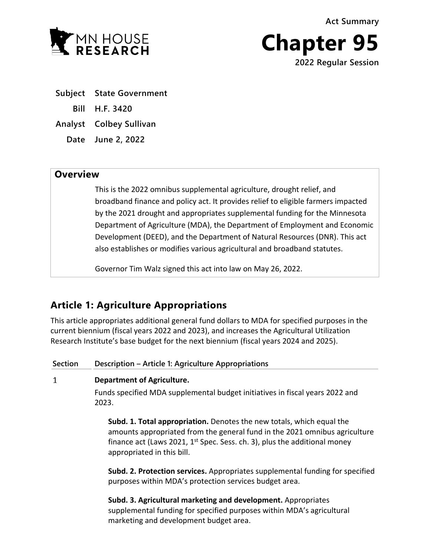**Act Summary**



**Chapter 95 2022 Regular Session**

- **Subject State Government Bill H.F. 3420 Analyst Colbey Sullivan**
	- **Date June 2, 2022**

# **Overview**

This is the 2022 omnibus supplemental agriculture, drought relief, and broadband finance and policy act. It provides relief to eligible farmers impacted by the 2021 drought and appropriates supplemental funding for the Minnesota Department of Agriculture (MDA), the Department of Employment and Economic Development (DEED), and the Department of Natural Resources (DNR). This act also establishes or modifies various agricultural and broadband statutes.

Governor Tim Walz signed this act into law on May 26, 2022.

# **Article 1: Agriculture Appropriations**

This article appropriates additional general fund dollars to MDA for specified purposes in the current biennium (fiscal years 2022 and 2023), and increases the Agricultural Utilization Research Institute's base budget for the next biennium (fiscal years 2024 and 2025).

**Section Description – Article 1: Agriculture Appropriations**

# $\mathbf{1}$ **Department of Agriculture.**

Funds specified MDA supplemental budget initiatives in fiscal years 2022 and 2023.

**Subd. 1. Total appropriation.** Denotes the new totals, which equal the amounts appropriated from the general fund in the 2021 omnibus agriculture finance act (Laws 2021, 1<sup>st</sup> Spec. Sess. ch. 3), plus the additional money appropriated in this bill.

**Subd. 2. Protection services.** Appropriates supplemental funding for specified purposes within MDA's protection services budget area.

**Subd. 3. Agricultural marketing and development.** Appropriates supplemental funding for specified purposes within MDA's agricultural marketing and development budget area.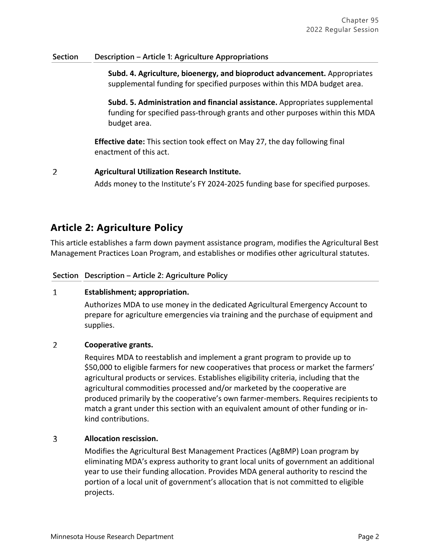# **Section Description – Article 1: Agriculture Appropriations**

**Subd. 4. Agriculture, bioenergy, and bioproduct advancement.** Appropriates supplemental funding for specified purposes within this MDA budget area.

**Subd. 5. Administration and financial assistance.** Appropriates supplemental funding for specified pass-through grants and other purposes within this MDA budget area.

**Effective date:** This section took effect on May 27, the day following final enactment of this act.

### $\overline{2}$ **Agricultural Utilization Research Institute.**

Adds money to the Institute's FY 2024-2025 funding base for specified purposes.

# **Article 2: Agriculture Policy**

This article establishes a farm down payment assistance program, modifies the Agricultural Best Management Practices Loan Program, and establishes or modifies other agricultural statutes.

# **Section Description – Article 2: Agriculture Policy**

### $\mathbf{1}$ **Establishment; appropriation.**

Authorizes MDA to use money in the dedicated Agricultural Emergency Account to prepare for agriculture emergencies via training and the purchase of equipment and supplies.

## $\overline{2}$ **Cooperative grants.**

Requires MDA to reestablish and implement a grant program to provide up to \$50,000 to eligible farmers for new cooperatives that process or market the farmers' agricultural products or services. Establishes eligibility criteria, including that the agricultural commodities processed and/or marketed by the cooperative are produced primarily by the cooperative's own farmer-members. Requires recipients to match a grant under this section with an equivalent amount of other funding or inkind contributions.

### 3 **Allocation rescission.**

Modifies the Agricultural Best Management Practices (AgBMP) Loan program by eliminating MDA's express authority to grant local units of government an additional year to use their funding allocation. Provides MDA general authority to rescind the portion of a local unit of government's allocation that is not committed to eligible projects.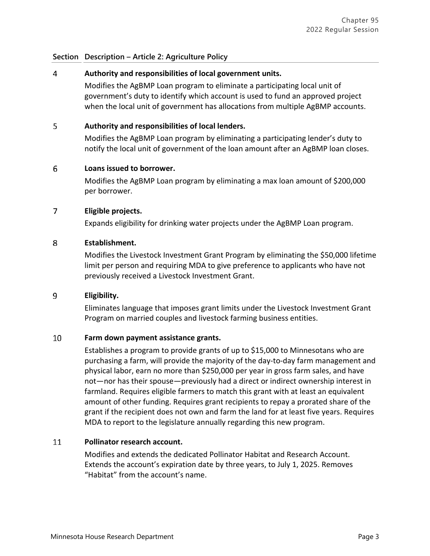### 4 **Authority and responsibilities of local government units.**

Modifies the AgBMP Loan program to eliminate a participating local unit of government's duty to identify which account is used to fund an approved project when the local unit of government has allocations from multiple AgBMP accounts.

### 5 **Authority and responsibilities of local lenders.**

Modifies the AgBMP Loan program by eliminating a participating lender's duty to notify the local unit of government of the loan amount after an AgBMP loan closes.

### 6 **Loans issued to borrower.**

Modifies the AgBMP Loan program by eliminating a max loan amount of \$200,000 per borrower.

### $\overline{7}$ **Eligible projects.**

Expands eligibility for drinking water projects under the AgBMP Loan program.

#### 8 **Establishment.**

Modifies the Livestock Investment Grant Program by eliminating the \$50,000 lifetime limit per person and requiring MDA to give preference to applicants who have not previously received a Livestock Investment Grant.

#### 9 **Eligibility.**

Eliminates language that imposes grant limits under the Livestock Investment Grant Program on married couples and livestock farming business entities.

### 10 **Farm down payment assistance grants.**

Establishes a program to provide grants of up to \$15,000 to Minnesotans who are purchasing a farm, will provide the majority of the day-to-day farm management and physical labor, earn no more than \$250,000 per year in gross farm sales, and have not—nor has their spouse—previously had a direct or indirect ownership interest in farmland. Requires eligible farmers to match this grant with at least an equivalent amount of other funding. Requires grant recipients to repay a prorated share of the grant if the recipient does not own and farm the land for at least five years. Requires MDA to report to the legislature annually regarding this new program.

### 11 **Pollinator research account.**

Modifies and extends the dedicated Pollinator Habitat and Research Account. Extends the account's expiration date by three years, to July 1, 2025. Removes "Habitat" from the account's name.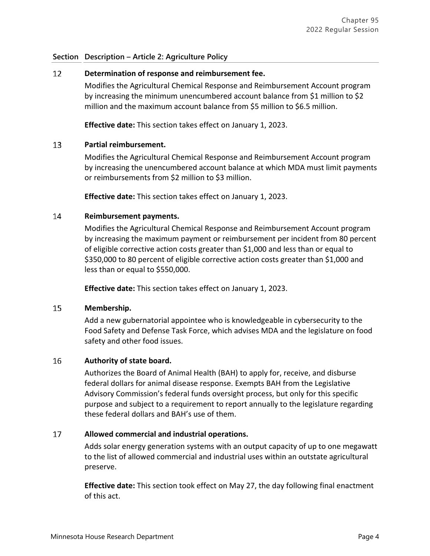### $12<sup>2</sup>$ **Determination of response and reimbursement fee.**

Modifies the Agricultural Chemical Response and Reimbursement Account program by increasing the minimum unencumbered account balance from \$1 million to \$2 million and the maximum account balance from \$5 million to \$6.5 million.

**Effective date:** This section takes effect on January 1, 2023.

### 13 **Partial reimbursement.**

Modifies the Agricultural Chemical Response and Reimbursement Account program by increasing the unencumbered account balance at which MDA must limit payments or reimbursements from \$2 million to \$3 million.

**Effective date:** This section takes effect on January 1, 2023.

### $14$ **Reimbursement payments.**

Modifies the Agricultural Chemical Response and Reimbursement Account program by increasing the maximum payment or reimbursement per incident from 80 percent of eligible corrective action costs greater than \$1,000 and less than or equal to \$350,000 to 80 percent of eligible corrective action costs greater than \$1,000 and less than or equal to \$550,000.

**Effective date:** This section takes effect on January 1, 2023.

### 15 **Membership.**

Add a new gubernatorial appointee who is knowledgeable in cybersecurity to the Food Safety and Defense Task Force, which advises MDA and the legislature on food safety and other food issues.

# 16 **Authority of state board.**

Authorizes the Board of Animal Health (BAH) to apply for, receive, and disburse federal dollars for animal disease response. Exempts BAH from the Legislative Advisory Commission's federal funds oversight process, but only for this specific purpose and subject to a requirement to report annually to the legislature regarding these federal dollars and BAH's use of them.

# 17 **Allowed commercial and industrial operations.**

Adds solar energy generation systems with an output capacity of up to one megawatt to the list of allowed commercial and industrial uses within an outstate agricultural preserve.

**Effective date:** This section took effect on May 27, the day following final enactment of this act.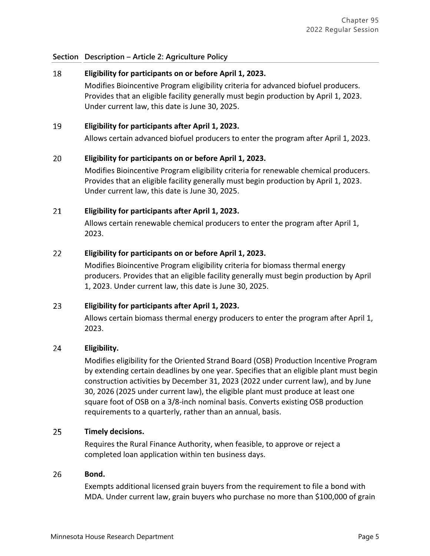## 18 **Eligibility for participants on or before April 1, 2023.**

Modifies Bioincentive Program eligibility criteria for advanced biofuel producers. Provides that an eligible facility generally must begin production by April 1, 2023. Under current law, this date is June 30, 2025.

### 19 **Eligibility for participants after April 1, 2023.**

Allows certain advanced biofuel producers to enter the program after April 1, 2023.

### 20 **Eligibility for participants on or before April 1, 2023.**

Modifies Bioincentive Program eligibility criteria for renewable chemical producers. Provides that an eligible facility generally must begin production by April 1, 2023. Under current law, this date is June 30, 2025.

### 21 **Eligibility for participants after April 1, 2023.**

Allows certain renewable chemical producers to enter the program after April 1, 2023.

### $22$ **Eligibility for participants on or before April 1, 2023.**

Modifies Bioincentive Program eligibility criteria for biomass thermal energy producers. Provides that an eligible facility generally must begin production by April 1, 2023. Under current law, this date is June 30, 2025.

# 23 **Eligibility for participants after April 1, 2023.**

Allows certain biomass thermal energy producers to enter the program after April 1, 2023.

### 24 **Eligibility.**

Modifies eligibility for the Oriented Strand Board (OSB) Production Incentive Program by extending certain deadlines by one year. Specifies that an eligible plant must begin construction activities by December 31, 2023 (2022 under current law), and by June 30, 2026 (2025 under current law), the eligible plant must produce at least one square foot of OSB on a 3/8-inch nominal basis. Converts existing OSB production requirements to a quarterly, rather than an annual, basis.

### 25 **Timely decisions.**

Requires the Rural Finance Authority, when feasible, to approve or reject a completed loan application within ten business days.

### 26 **Bond.**

Exempts additional licensed grain buyers from the requirement to file a bond with MDA. Under current law, grain buyers who purchase no more than \$100,000 of grain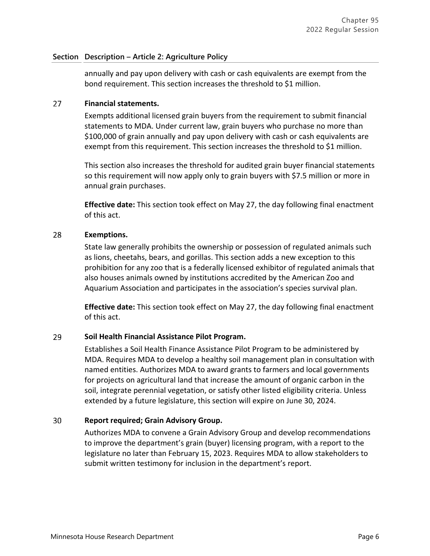annually and pay upon delivery with cash or cash equivalents are exempt from the bond requirement. This section increases the threshold to \$1 million.

#### 27 **Financial statements.**

Exempts additional licensed grain buyers from the requirement to submit financial statements to MDA. Under current law, grain buyers who purchase no more than \$100,000 of grain annually and pay upon delivery with cash or cash equivalents are exempt from this requirement. This section increases the threshold to \$1 million.

This section also increases the threshold for audited grain buyer financial statements so this requirement will now apply only to grain buyers with \$7.5 million or more in annual grain purchases.

**Effective date:** This section took effect on May 27, the day following final enactment of this act.

#### 28 **Exemptions.**

State law generally prohibits the ownership or possession of regulated animals such as lions, cheetahs, bears, and gorillas. This section adds a new exception to this prohibition for any zoo that is a federally licensed exhibitor of regulated animals that also houses animals owned by institutions accredited by the American Zoo and Aquarium Association and participates in the association's species survival plan.

**Effective date:** This section took effect on May 27, the day following final enactment of this act.

### 29 **Soil Health Financial Assistance Pilot Program.**

Establishes a Soil Health Finance Assistance Pilot Program to be administered by MDA. Requires MDA to develop a healthy soil management plan in consultation with named entities. Authorizes MDA to award grants to farmers and local governments for projects on agricultural land that increase the amount of organic carbon in the soil, integrate perennial vegetation, or satisfy other listed eligibility criteria. Unless extended by a future legislature, this section will expire on June 30, 2024.

### 30 **Report required; Grain Advisory Group.**

Authorizes MDA to convene a Grain Advisory Group and develop recommendations to improve the department's grain (buyer) licensing program, with a report to the legislature no later than February 15, 2023. Requires MDA to allow stakeholders to submit written testimony for inclusion in the department's report.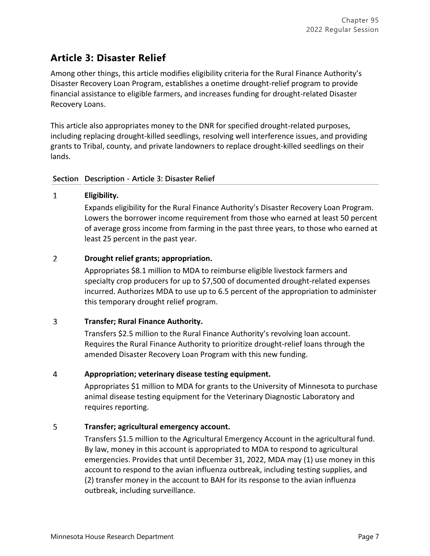# **Article 3: Disaster Relief**

Among other things, this article modifies eligibility criteria for the Rural Finance Authority's Disaster Recovery Loan Program, establishes a onetime drought-relief program to provide financial assistance to eligible farmers, and increases funding for drought-related Disaster Recovery Loans.

This article also appropriates money to the DNR for specified drought-related purposes, including replacing drought-killed seedlings, resolving well interference issues, and providing grants to Tribal, county, and private landowners to replace drought-killed seedlings on their lands.

# **Section Description - Article 3: Disaster Relief**

# $\mathbf{1}$ **Eligibility.**

Expands eligibility for the Rural Finance Authority's Disaster Recovery Loan Program. Lowers the borrower income requirement from those who earned at least 50 percent of average gross income from farming in the past three years, to those who earned at least 25 percent in the past year.

# $\overline{2}$ **Drought relief grants; appropriation.**

Appropriates \$8.1 million to MDA to reimburse eligible livestock farmers and specialty crop producers for up to \$7,500 of documented drought-related expenses incurred. Authorizes MDA to use up to 6.5 percent of the appropriation to administer this temporary drought relief program.

# $\overline{3}$ **Transfer; Rural Finance Authority.**

Transfers \$2.5 million to the Rural Finance Authority's revolving loan account. Requires the Rural Finance Authority to prioritize drought-relief loans through the amended Disaster Recovery Loan Program with this new funding.

# 4 **Appropriation; veterinary disease testing equipment.**

Appropriates \$1 million to MDA for grants to the University of Minnesota to purchase animal disease testing equipment for the Veterinary Diagnostic Laboratory and requires reporting.

# 5 **Transfer; agricultural emergency account.**

Transfers \$1.5 million to the Agricultural Emergency Account in the agricultural fund. By law, money in this account is appropriated to MDA to respond to agricultural emergencies. Provides that until December 31, 2022, MDA may (1) use money in this account to respond to the avian influenza outbreak, including testing supplies, and (2) transfer money in the account to BAH for its response to the avian influenza outbreak, including surveillance.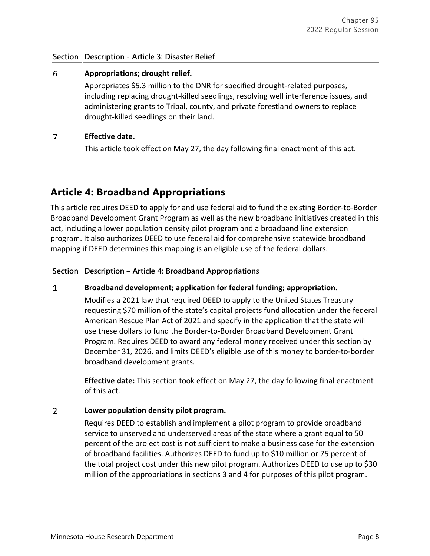# **Section Description - Article 3: Disaster Relief**

## 6 **Appropriations; drought relief.**

Appropriates \$5.3 million to the DNR for specified drought-related purposes, including replacing drought-killed seedlings, resolving well interference issues, and administering grants to Tribal, county, and private forestland owners to replace drought-killed seedlings on their land.

### $\overline{7}$ **Effective date.**

This article took effect on May 27, the day following final enactment of this act.

# **Article 4: Broadband Appropriations**

This article requires DEED to apply for and use federal aid to fund the existing Border-to-Border Broadband Development Grant Program as well as the new broadband initiatives created in this act, including a lower population density pilot program and a broadband line extension program. It also authorizes DEED to use federal aid for comprehensive statewide broadband mapping if DEED determines this mapping is an eligible use of the federal dollars.

# **Section Description – Article 4: Broadband Appropriations**

# $\mathbf{1}$ **Broadband development; application for federal funding; appropriation.**

Modifies a 2021 law that required DEED to apply to the United States Treasury requesting \$70 million of the state's capital projects fund allocation under the federal American Rescue Plan Act of 2021 and specify in the application that the state will use these dollars to fund the Border-to-Border Broadband Development Grant Program. Requires DEED to award any federal money received under this section by December 31, 2026, and limits DEED's eligible use of this money to border-to-border broadband development grants.

**Effective date:** This section took effect on May 27, the day following final enactment of this act.

# $\overline{2}$ **Lower population density pilot program.**

Requires DEED to establish and implement a pilot program to provide broadband service to unserved and underserved areas of the state where a grant equal to 50 percent of the project cost is not sufficient to make a business case for the extension of broadband facilities. Authorizes DEED to fund up to \$10 million or 75 percent of the total project cost under this new pilot program. Authorizes DEED to use up to \$30 million of the appropriations in sections 3 and 4 for purposes of this pilot program.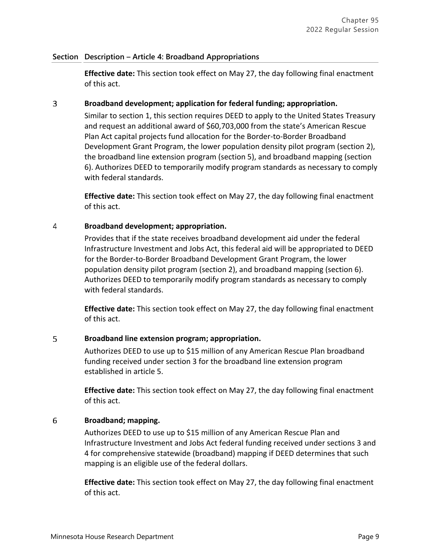# **Section Description – Article 4: Broadband Appropriations**

**Effective date:** This section took effect on May 27, the day following final enactment of this act.

### $\overline{3}$ **Broadband development; application for federal funding; appropriation.**

Similar to section 1, this section requires DEED to apply to the United States Treasury and request an additional award of \$60,703,000 from the state's American Rescue Plan Act capital projects fund allocation for the Border-to-Border Broadband Development Grant Program, the lower population density pilot program (section 2), the broadband line extension program (section 5), and broadband mapping (section 6). Authorizes DEED to temporarily modify program standards as necessary to comply with federal standards.

**Effective date:** This section took effect on May 27, the day following final enactment of this act.

### 4 **Broadband development; appropriation.**

Provides that if the state receives broadband development aid under the federal Infrastructure Investment and Jobs Act, this federal aid will be appropriated to DEED for the Border-to-Border Broadband Development Grant Program, the lower population density pilot program (section 2), and broadband mapping (section 6). Authorizes DEED to temporarily modify program standards as necessary to comply with federal standards.

**Effective date:** This section took effect on May 27, the day following final enactment of this act.

# 5 **Broadband line extension program; appropriation.**

Authorizes DEED to use up to \$15 million of any American Rescue Plan broadband funding received under section 3 for the broadband line extension program established in article 5.

**Effective date:** This section took effect on May 27, the day following final enactment of this act.

# 6 **Broadband; mapping.**

Authorizes DEED to use up to \$15 million of any American Rescue Plan and Infrastructure Investment and Jobs Act federal funding received under sections 3 and 4 for comprehensive statewide (broadband) mapping if DEED determines that such mapping is an eligible use of the federal dollars.

**Effective date:** This section took effect on May 27, the day following final enactment of this act.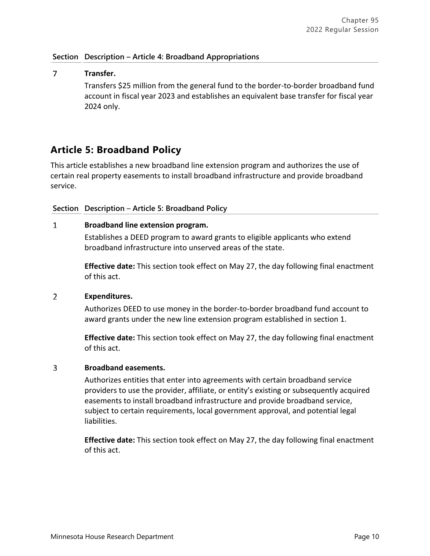# **Section Description – Article 4: Broadband Appropriations**

## $\overline{7}$ **Transfer.**

Transfers \$25 million from the general fund to the border-to-border broadband fund account in fiscal year 2023 and establishes an equivalent base transfer for fiscal year 2024 only.

# **Article 5: Broadband Policy**

This article establishes a new broadband line extension program and authorizes the use of certain real property easements to install broadband infrastructure and provide broadband service.

# **Section Description** – **Article 5: Broadband Policy**

#### $\mathbf{1}$ **Broadband line extension program.**

Establishes a DEED program to award grants to eligible applicants who extend broadband infrastructure into unserved areas of the state.

**Effective date:** This section took effect on May 27, the day following final enactment of this act.

#### $\overline{2}$ **Expenditures.**

Authorizes DEED to use money in the border-to-border broadband fund account to award grants under the new line extension program established in section 1.

**Effective date:** This section took effect on May 27, the day following final enactment of this act.

#### $\overline{3}$ **Broadband easements.**

Authorizes entities that enter into agreements with certain broadband service providers to use the provider, affiliate, or entity's existing or subsequently acquired easements to install broadband infrastructure and provide broadband service, subject to certain requirements, local government approval, and potential legal liabilities.

**Effective date:** This section took effect on May 27, the day following final enactment of this act.